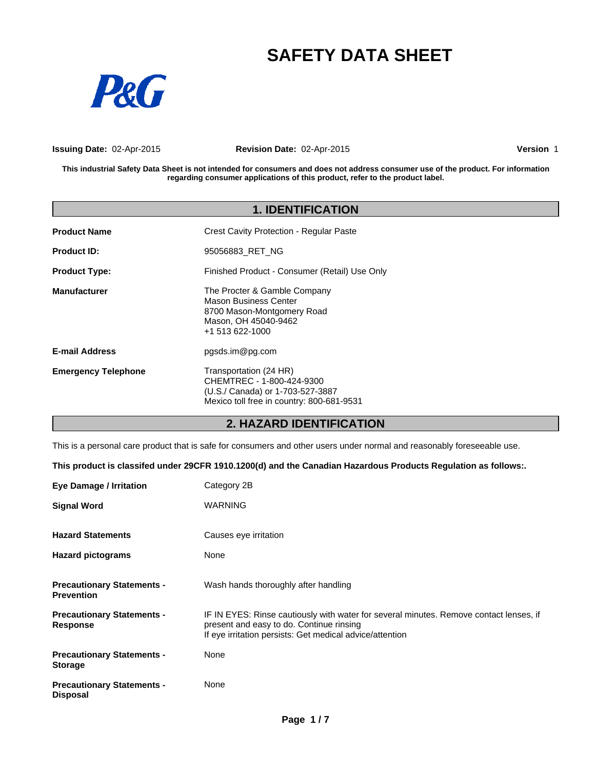# **SAFETY DATA SHEET**



**Issuing Date:** 02-Apr-2015

**Revision Date:** 02-Apr-2015

**Version** 1

**This industrial Safety Data Sheet is not intended for consumers and does not address consumer use of the product. For information regarding consumer applications of this product, refer to the product label.**

| <b>1. IDENTIFICATION</b>   |                                                                                                                                      |  |
|----------------------------|--------------------------------------------------------------------------------------------------------------------------------------|--|
| <b>Product Name</b>        | Crest Cavity Protection - Regular Paste                                                                                              |  |
| <b>Product ID:</b>         | 95056883 RET NG                                                                                                                      |  |
| <b>Product Type:</b>       | Finished Product - Consumer (Retail) Use Only                                                                                        |  |
| Manufacturer               | The Procter & Gamble Company<br>Mason Business Center<br>8700 Mason-Montgomery Road<br>Mason, OH 45040-9462<br>+1 513 622-1000       |  |
| <b>E-mail Address</b>      | pgsds.im@pg.com                                                                                                                      |  |
| <b>Emergency Telephone</b> | Transportation (24 HR)<br>CHEMTREC - 1-800-424-9300<br>(U.S./ Canada) or 1-703-527-3887<br>Mexico toll free in country: 800-681-9531 |  |

### **2. HAZARD IDENTIFICATION**

This is a personal care product that is safe for consumers and other users under normal and reasonably foreseeable use.

**This product is classifed under 29CFR 1910.1200(d) and the Canadian Hazardous Products Regulation as follows:.**

| <b>Eye Damage / Irritation</b>                         | Category 2B                                                                                                                                                                                    |
|--------------------------------------------------------|------------------------------------------------------------------------------------------------------------------------------------------------------------------------------------------------|
| <b>Signal Word</b>                                     | <b>WARNING</b>                                                                                                                                                                                 |
| <b>Hazard Statements</b>                               | Causes eye irritation                                                                                                                                                                          |
| <b>Hazard pictograms</b>                               | None                                                                                                                                                                                           |
| <b>Precautionary Statements -</b><br><b>Prevention</b> | Wash hands thoroughly after handling                                                                                                                                                           |
| <b>Precautionary Statements -</b><br><b>Response</b>   | IF IN EYES: Rinse cautiously with water for several minutes. Remove contact lenses, if<br>present and easy to do. Continue rinsing<br>If eye irritation persists: Get medical advice/attention |
| <b>Precautionary Statements -</b><br><b>Storage</b>    | None                                                                                                                                                                                           |
| <b>Precautionary Statements -</b><br><b>Disposal</b>   | None                                                                                                                                                                                           |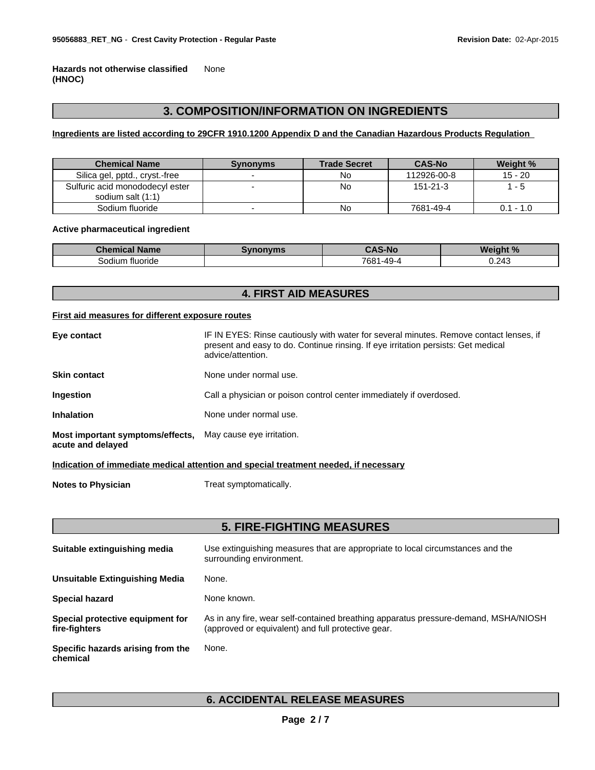**Hazards not otherwise classified (HNOC)** None

### **3. COMPOSITION/INFORMATION ON INGREDIENTS**

### **Ingredients are listed according to 29CFR 1910.1200 Appendix D and the Canadian Hazardous Products Regulation**

| <b>Chemical Name</b>                                 | <b>Synonyms</b> | <b>Trade Secret</b> | <b>CAS-No</b>  | Weight %                |
|------------------------------------------------------|-----------------|---------------------|----------------|-------------------------|
| Silica gel, pptd., cryst.-free                       |                 | No                  | 112926-00-8    | $15 - 20$               |
| Sulfuric acid monododecyl ester<br>sodium salt (1:1) |                 | No                  | $151 - 21 - 3$ |                         |
| Sodium fluoride                                      |                 | No                  | 7681-49-4      | $-1.0$<br>∩ 1<br>$\sim$ |

### **Active pharmaceutical ingredient**

| Chemical<br><b>Name</b> | 97<br>nvms | $S-No$                               | Weight %         |
|-------------------------|------------|--------------------------------------|------------------|
| tluoride<br>Sodium      |            | 7681-<br>$\sim$<br>1 - 4 9 - 4<br>т. | 213<br>◡.∠−<br>. |

### **4. FIRST AID MEASURES**

### **First aid measures for different exposure routes**

| Eye contact                                                                     | IF IN EYES: Rinse cautiously with water for several minutes. Remove contact lenses, if<br>present and easy to do. Continue rinsing. If eye irritation persists: Get medical<br>advice/attention. |
|---------------------------------------------------------------------------------|--------------------------------------------------------------------------------------------------------------------------------------------------------------------------------------------------|
| Skin contact                                                                    | None under normal use.                                                                                                                                                                           |
| Ingestion                                                                       | Call a physician or poison control center immediately if overdosed.                                                                                                                              |
| Inhalation                                                                      | None under normal use.                                                                                                                                                                           |
| Most important symptoms/effects, May cause eye irritation.<br>acute and delayed |                                                                                                                                                                                                  |

**Indication of immediate medical attention and special treatment needed, if necessary**

**Notes to Physician** Treat symptomatically.

### **5. FIRE-FIGHTING MEASURES**

| Suitable extinguishing media                      | Use extinguishing measures that are appropriate to local circumstances and the<br>surrounding environment.                                |
|---------------------------------------------------|-------------------------------------------------------------------------------------------------------------------------------------------|
| Unsuitable Extinguishing Media                    | None.                                                                                                                                     |
| <b>Special hazard</b>                             | None known.                                                                                                                               |
| Special protective equipment for<br>fire-fighters | As in any fire, wear self-contained breathing apparatus pressure-demand, MSHA/NIOSH<br>(approved or equivalent) and full protective gear. |
| Specific hazards arising from the<br>chemical     | None.                                                                                                                                     |

### **6. ACCIDENTAL RELEASE MEASURES**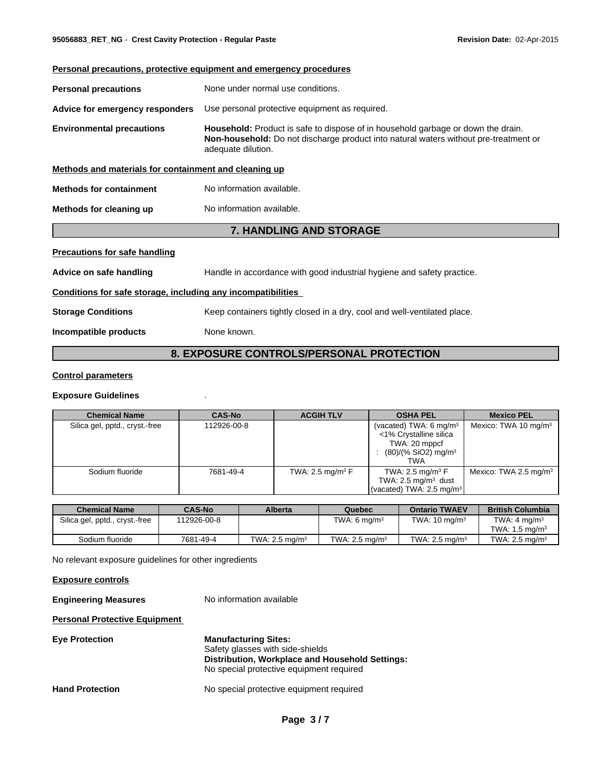## **Personal precautions, protective equipment and emergency procedures Personal precautions** None under normal use conditions. **Advice for emergency responders** Use personal protective equipment as required. **Environmental precautions Household:** Product is safe to dispose of in household garbage or down the drain. **Non-household:** Do not discharge product into natural waters without pre-treatment or adequate dilution. **Methods and materials for containment and cleaning up Methods for containment** No information available. **Methods for cleaning up** No information available. **7. HANDLING AND STORAGE Precautions for safe handling Advice on safe handling** Handle in accordance with good industrial hygiene and safety practice. **Conditions for safe storage, including any incompatibilities Storage Conditions** Keep containers tightly closed in a dry, cool and well-ventilated place. **Incompatible products** None known.

### **8. EXPOSURE CONTROLS/PERSONAL PROTECTION**

### **Control parameters**

### **Exposure Guidelines** .

| <b>Chemical Name</b>           | <b>CAS-No</b> | <b>ACGIH TLV</b>               | <b>OSHA PEL</b>                                                                                                           | <b>Mexico PEL</b>                 |
|--------------------------------|---------------|--------------------------------|---------------------------------------------------------------------------------------------------------------------------|-----------------------------------|
| Silica gel, pptd., cryst.-free | 112926-00-8   |                                | (vacated) TWA: 6 mg/m <sup>3</sup><br><1% Crystalline silica<br>TWA: 20 mppcf<br>$(80)/(%$ SiO2) mg/m <sup>3</sup><br>TWA | Mexico: TWA 10 mg/m <sup>3</sup>  |
| Sodium fluoride                | 7681-49-4     | TWA: 2.5 mg/m <sup>3</sup> $F$ | TWA: 2.5 mg/m <sup>3</sup> $F$<br>TWA: $2.5 \text{ mg/m}^3$ dust<br>(vacated) TWA: 2.5 mg/m <sup>3</sup>                  | Mexico: TWA 2.5 mg/m <sup>3</sup> |

| <b>Chemical Name</b>           | <b>CAS-No</b> | Alberta                   | Quebec                    | <b>Ontario TWAEV</b>       | <b>British Columbia</b>   |
|--------------------------------|---------------|---------------------------|---------------------------|----------------------------|---------------------------|
| Silica gel, pptd., cryst.-free | 112926-00-8   |                           | TWA: 6 $ma/m3$            | TWA: $10 \text{ ma/m}^3$   | TWA: $4 \text{ ma/m}^3$   |
|                                |               |                           |                           |                            | TWA: $1.5 \text{ ma/m}^3$ |
| Sodium fluoride                | 7681-49-4     | TWA: $2.5 \text{ ma/m}^3$ | TWA: $2.5 \text{ ma/m}^3$ | TWA: 2.5 mg/m <sup>3</sup> | TWA: $2.5 \text{ ma/m}^3$ |

No relevant exposure guidelines for other ingredients

**Exposure controls**

**Engineering Measures** No information available

**Personal Protective Equipment** 

| <b>Eye Protection</b>  | <b>Manufacturing Sites:</b>                                                                 |
|------------------------|---------------------------------------------------------------------------------------------|
|                        | Safety glasses with side-shields                                                            |
|                        | Distribution, Workplace and Household Settings:<br>No special protective equipment required |
| <b>Hand Protection</b> | No special protective equipment required                                                    |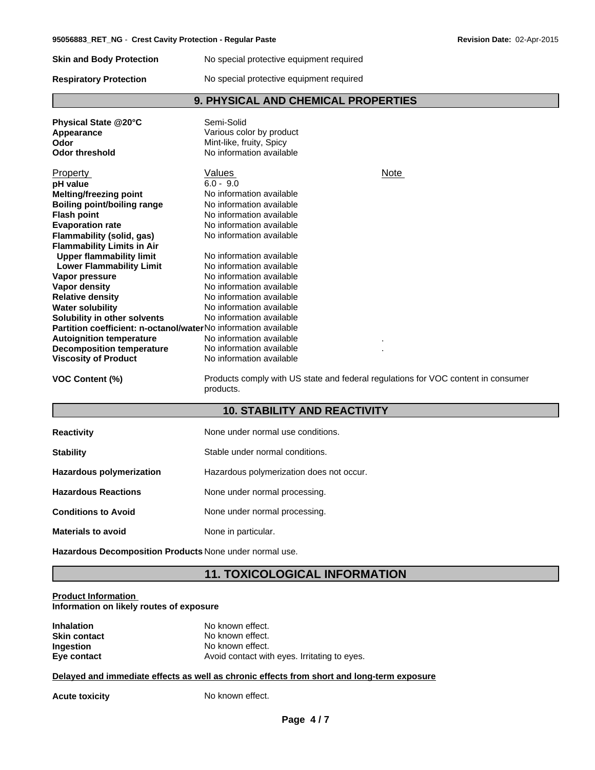**Skin and Body Protection** No special protective equipment required

**Respiratory Protection** No special protective equipment required

### **9. PHYSICAL AND CHEMICAL PROPERTIES**

| Physical State @20°C<br>Appearance<br>Odor<br><b>Odor threshold</b> | Semi-Solid<br>Various color by product<br>Mint-like, fruity, Spicy<br>No information available |             |
|---------------------------------------------------------------------|------------------------------------------------------------------------------------------------|-------------|
| Property                                                            | Values                                                                                         | <b>Note</b> |
| pH value                                                            | $6.0 - 9.0$                                                                                    |             |
| <b>Melting/freezing point</b>                                       | No information available                                                                       |             |
| Boiling point/boiling range                                         | No information available                                                                       |             |
| <b>Flash point</b>                                                  | No information available                                                                       |             |
| <b>Evaporation rate</b>                                             | No information available                                                                       |             |
| Flammability (solid, gas)                                           | No information available                                                                       |             |
| <b>Flammability Limits in Air</b>                                   |                                                                                                |             |
| <b>Upper flammability limit</b>                                     | No information available                                                                       |             |
| <b>Lower Flammability Limit</b>                                     | No information available                                                                       |             |
| Vapor pressure                                                      | No information available                                                                       |             |
| <b>Vapor density</b>                                                | No information available                                                                       |             |
| <b>Relative density</b>                                             | No information available                                                                       |             |
| <b>Water solubility</b>                                             | No information available                                                                       |             |
| Solubility in other solvents                                        | No information available                                                                       |             |
| Partition coefficient: n-octanol/waterNo information available      |                                                                                                |             |
| <b>Autoignition temperature</b>                                     | No information available                                                                       |             |
| <b>Decomposition temperature</b>                                    | No information available                                                                       |             |
| <b>Viscosity of Product</b>                                         | No information available                                                                       |             |
| <b>VOC Content (%)</b>                                              | Products comply with US state and federal regulations for VOC content in consumer              |             |

products.

### **10. STABILITY AND REACTIVITY**

| <b>Reactivity</b>          | None under normal use conditions.        |
|----------------------------|------------------------------------------|
| <b>Stability</b>           | Stable under normal conditions.          |
| Hazardous polymerization   | Hazardous polymerization does not occur. |
| <b>Hazardous Reactions</b> | None under normal processing.            |
| <b>Conditions to Avoid</b> | None under normal processing.            |
| <b>Materials to avoid</b>  | None in particular.                      |

**Hazardous Decomposition Products** None under normal use.

### **11. TOXICOLOGICAL INFORMATION**

### **Product Information Information on likely routes of exposure**

| <b>Inhalation</b>   | No known effect.                             |
|---------------------|----------------------------------------------|
| <b>Skin contact</b> | No known effect.                             |
| Ingestion           | No known effect.                             |
| Eye contact         | Avoid contact with eyes. Irritating to eyes. |

### **Delayed and immediate effects as well as chronic effects from short and long-term exposure**

Acute toxicity **No known effect.**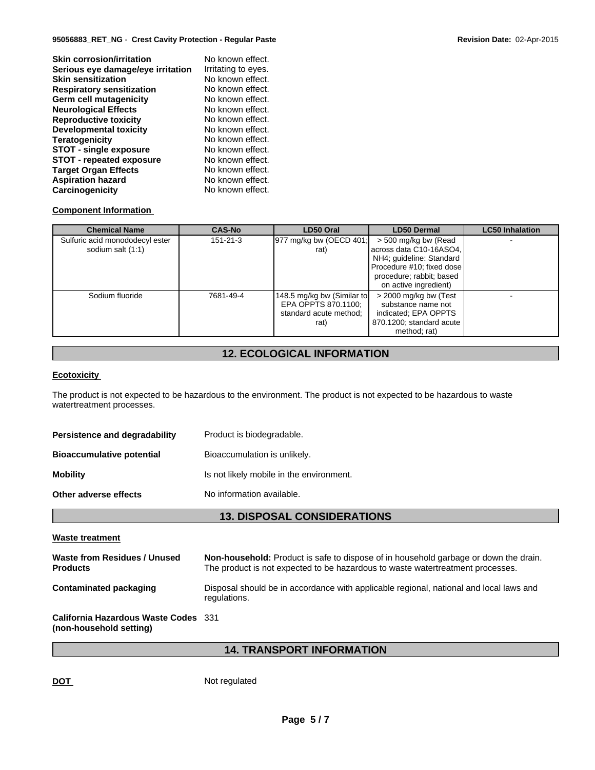| <b>Skin corrosion/irritation</b>  | No known effect.    |
|-----------------------------------|---------------------|
| Serious eye damage/eye irritation | Irritating to eyes. |
| <b>Skin sensitization</b>         | No known effect.    |
| <b>Respiratory sensitization</b>  | No known effect.    |
| Germ cell mutagenicity            | No known effect.    |
| <b>Neurological Effects</b>       | No known effect.    |
| <b>Reproductive toxicity</b>      | No known effect.    |
| <b>Developmental toxicity</b>     | No known effect.    |
| <b>Teratogenicity</b>             | No known effect.    |
| <b>STOT - single exposure</b>     | No known effect.    |
| <b>STOT - repeated exposure</b>   | No known effect.    |
| <b>Target Organ Effects</b>       | No known effect.    |
| <b>Aspiration hazard</b>          | No known effect.    |
| Carcinogenicity                   | No known effect.    |

### **Component Information**

| <b>Chemical Name</b>            | <b>CAS-No</b>  | LD50 Oral                  | <b>LD50 Dermal</b>        | <b>LC50 Inhalation</b> |
|---------------------------------|----------------|----------------------------|---------------------------|------------------------|
| Sulfuric acid monododecyl ester | $151 - 21 - 3$ | 977 mg/kg bw (OECD 401;    | > 500 mg/kg bw (Read      |                        |
| sodium salt (1:1)               |                | rat)                       | across data C10-16ASO4,   |                        |
|                                 |                |                            | NH4; guideline: Standard  |                        |
|                                 |                |                            | Procedure #10; fixed dose |                        |
|                                 |                |                            | procedure; rabbit; based  |                        |
|                                 |                |                            | on active ingredient)     |                        |
| Sodium fluoride                 | 7681-49-4      | 148.5 mg/kg bw (Similar to | > 2000 mg/kg bw (Test     |                        |
|                                 |                | EPA OPPTS 870.1100;        | substance name not        |                        |
|                                 |                | standard acute method;     | indicated; EPA OPPTS      |                        |
|                                 |                | rat)                       | 870.1200; standard acute  |                        |
|                                 |                |                            | method; rat)              |                        |

### **12. ECOLOGICAL INFORMATION**

### **Ecotoxicity**

The product is not expected to be hazardous to the environment. The product is not expected to be hazardous to waste watertreatment processes.

| Persistence and degradability    | Product is biodegradable.                |
|----------------------------------|------------------------------------------|
| <b>Bioaccumulative potential</b> | Bioaccumulation is unlikely.             |
| <b>Mobility</b>                  | Is not likely mobile in the environment. |
| Other adverse effects            | No information available.                |

### **13. DISPOSAL CONSIDERATIONS**

#### **Waste treatment**

| Waste from Residues / Unused<br><b>Products</b>                 | <b>Non-household:</b> Product is safe to dispose of in household garbage or down the drain.<br>The product is not expected to be hazardous to waste watertreatment processes. |
|-----------------------------------------------------------------|-------------------------------------------------------------------------------------------------------------------------------------------------------------------------------|
| Contaminated packaging                                          | Disposal should be in accordance with applicable regional, national and local laws and<br>regulations.                                                                        |
| California Hazardous Waste Codes 331<br>(non-household setting) |                                                                                                                                                                               |

### **14. TRANSPORT INFORMATION**

DOT Not regulated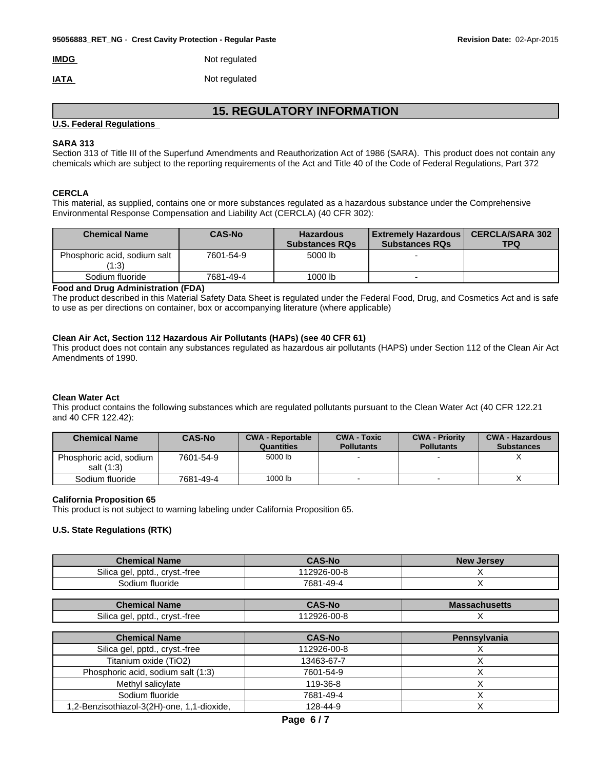|  | <b>IMDG</b> | Not regulated |
|--|-------------|---------------|
|--|-------------|---------------|

**IATA** Not regulated

### **15. REGULATORY INFORMATION**

### **U.S. Federal Regulations**

### **SARA 313**

Section 313 of Title III of the Superfund Amendments and Reauthorization Act of 1986 (SARA). This product does not contain any chemicals which are subject to the reporting requirements of the Act and Title 40 of the Code of Federal Regulations, Part 372

### **CERCLA**

This material, as supplied, contains one or more substances regulated as a hazardous substance under the Comprehensive Environmental Response Compensation and Liability Act (CERCLA) (40 CFR 302):

| <b>Chemical Name</b>                  | <b>CAS-No</b> | <b>Hazardous</b><br><b>Substances RQs</b> | <b>Extremely Hazardous</b><br><b>Substances RQs</b> | <b>CERCLA/SARA 302</b><br><b>TPQ</b> |
|---------------------------------------|---------------|-------------------------------------------|-----------------------------------------------------|--------------------------------------|
| Phosphoric acid, sodium salt<br>(1:3) | 7601-54-9     | 5000 lb                                   |                                                     |                                      |
| Sodium fluoride                       | 7681-49-4     | 1000 lb                                   |                                                     |                                      |

#### **Food and Drug Administration (FDA)**

The product described in this Material Safety Data Sheet is regulated under the Federal Food, Drug, and Cosmetics Act and is safe to use as per directions on container, box or accompanying literature (where applicable)

### **Clean Air Act, Section 112 Hazardous Air Pollutants (HAPs) (see 40 CFR 61)**

This product does not contain any substances regulated as hazardous air pollutants (HAPS) under Section 112 of the Clean Air Act Amendments of 1990.

### **Clean Water Act**

This product contains the following substances which are regulated pollutants pursuant to the Clean Water Act (40 CFR 122.21 and 40 CFR 122.42):

| <b>Chemical Name</b>                  | <b>CAS-No</b> | <b>CWA - Reportable</b><br>Quantities | <b>CWA - Toxic</b><br><b>Pollutants</b> | <b>CWA - Priority</b><br><b>Pollutants</b> | <b>CWA - Hazardous</b><br><b>Substances</b> |
|---------------------------------------|---------------|---------------------------------------|-----------------------------------------|--------------------------------------------|---------------------------------------------|
| Phosphoric acid, sodium<br>salt (1:3) | 7601-54-9     | 5000 lb                               |                                         |                                            |                                             |
| Sodium fluoride                       | 7681-49-4     | 1000 lb                               |                                         |                                            |                                             |

### **California Proposition 65**

This product is not subject to warning labeling under California Proposition 65.

### **U.S. State Regulations (RTK)**

| <b>Chemical Name</b>                | <b>CAS-No</b> | <b>New Jersey</b> |
|-------------------------------------|---------------|-------------------|
| Silica gel,<br>. pptd., cryst.-free | 12926-00-8    |                   |
| Sodium fluoride                     | 7681-49-4     |                   |

| Chemical Name                                | <b>CAS-No</b> | <b>Massachusetts</b> |
|----------------------------------------------|---------------|----------------------|
| $\sim$<br>pptd<br>crvst.-free<br>Silica del. | 12926-00-8    |                      |

| <b>Chemical Name</b>                       | <b>CAS-No</b> | Pennsylvania |
|--------------------------------------------|---------------|--------------|
| Silica gel, pptd., cryst.-free             | 112926-00-8   |              |
| Titanium oxide (TiO2)                      | 13463-67-7    |              |
| Phosphoric acid, sodium salt (1:3)         | 7601-54-9     |              |
| Methyl salicylate                          | 119-36-8      |              |
| Sodium fluoride                            | 7681-49-4     |              |
| 1,2-Benzisothiazol-3(2H)-one, 1,1-dioxide, | 128-44-9      |              |